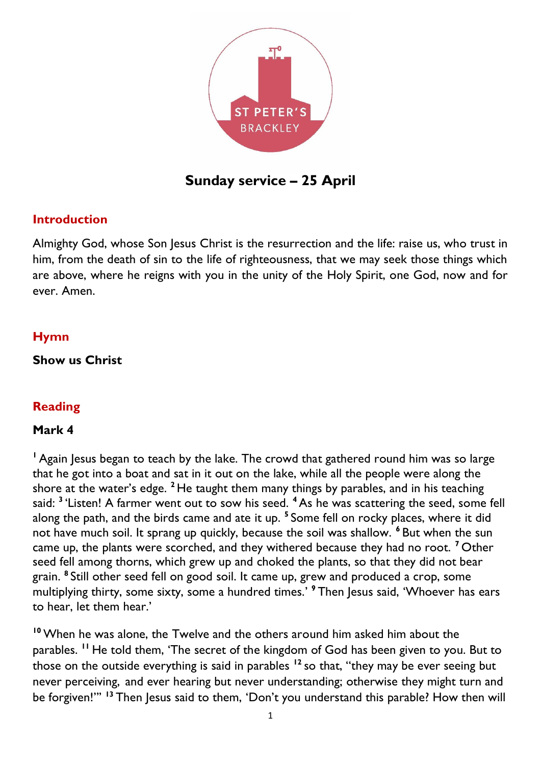

**Sunday service – 25 April**

### **Introduction**

Almighty God, whose Son Jesus Christ is the resurrection and the life: raise us, who trust in him, from the death of sin to the life of righteousness, that we may seek those things which are above, where he reigns with you in the unity of the Holy Spirit, one God, now and for ever. Amen.

### **Hymn**

**Show us Christ**

## **Reading**

#### **Mark 4**

<sup>1</sup> Again Jesus began to teach by the lake. The crowd that gathered round him was so large that he got into a boat and sat in it out on the lake, while all the people were along the shore at the water's edge. **<sup>2</sup>** He taught them many things by parables, and in his teaching said: **<sup>3</sup>** 'Listen! A farmer went out to sow his seed. **<sup>4</sup>** As he was scattering the seed, some fell along the path, and the birds came and ate it up. **<sup>5</sup>** Some fell on rocky places, where it did not have much soil. It sprang up quickly, because the soil was shallow. **<sup>6</sup>** But when the sun came up, the plants were scorched, and they withered because they had no root. **<sup>7</sup>** Other seed fell among thorns, which grew up and choked the plants, so that they did not bear grain. **<sup>8</sup>** Still other seed fell on good soil. It came up, grew and produced a crop, some multiplying thirty, some sixty, some a hundred times.' **<sup>9</sup>** Then Jesus said, 'Whoever has ears to hear, let them hear.'

**<sup>10</sup>** When he was alone, the Twelve and the others around him asked him about the parables. **<sup>11</sup>** He told them, 'The secret of the kingdom of God has been given to you. But to those on the outside everything is said in parables **<sup>12</sup>** so that, "they may be ever seeing but never perceiving, and ever hearing but never understanding; otherwise they might turn and be forgiven!"' **<sup>13</sup>** Then Jesus said to them, 'Don't you understand this parable? How then will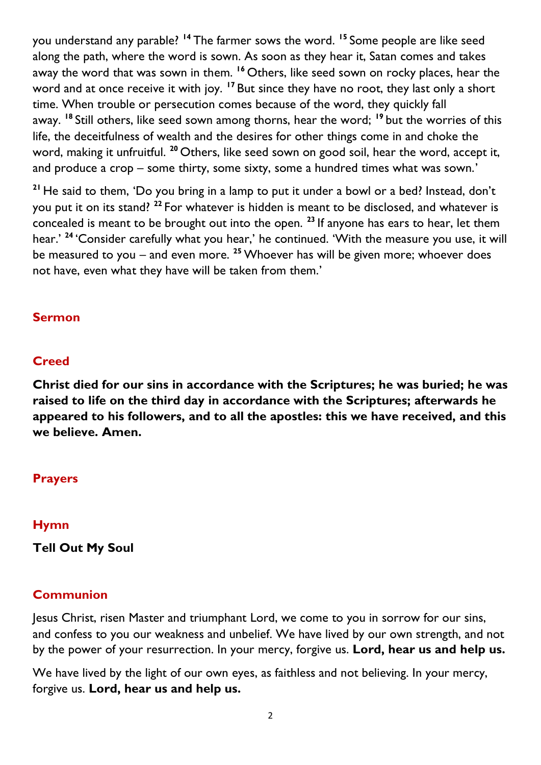you understand any parable? **<sup>14</sup>** The farmer sows the word. **<sup>15</sup>** Some people are like seed along the path, where the word is sown. As soon as they hear it, Satan comes and takes away the word that was sown in them. **<sup>16</sup>** Others, like seed sown on rocky places, hear the word and at once receive it with joy. **<sup>17</sup>** But since they have no root, they last only a short time. When trouble or persecution comes because of the word, they quickly fall away. **<sup>18</sup>** Still others, like seed sown among thorns, hear the word; **<sup>19</sup>** but the worries of this life, the deceitfulness of wealth and the desires for other things come in and choke the word, making it unfruitful. **<sup>20</sup>** Others, like seed sown on good soil, hear the word, accept it, and produce a crop – some thirty, some sixty, some a hundred times what was sown.'

**<sup>21</sup>** He said to them, 'Do you bring in a lamp to put it under a bowl or a bed? Instead, don't you put it on its stand? **<sup>22</sup>** For whatever is hidden is meant to be disclosed, and whatever is concealed is meant to be brought out into the open. **<sup>23</sup>** If anyone has ears to hear, let them hear.' **<sup>24</sup>** 'Consider carefully what you hear,' he continued. 'With the measure you use, it will be measured to you – and even more. **<sup>25</sup>** Whoever has will be given more; whoever does not have, even what they have will be taken from them.'

## **Sermon**

# **Creed**

**Christ died for our sins in accordance with the Scriptures; he was buried; he was raised to life on the third day in accordance with the Scriptures; afterwards he appeared to his followers, and to all the apostles: this we have received, and this we believe. Amen.**

# **Prayers**

## **Hymn**

**Tell Out My Soul**

## **Communion**

Jesus Christ, risen Master and triumphant Lord, we come to you in sorrow for our sins, and confess to you our weakness and unbelief. We have lived by our own strength, and not by the power of your resurrection. In your mercy, forgive us. **Lord, hear us and help us.**

We have lived by the light of our own eyes, as faithless and not believing. In your mercy, forgive us. **Lord, hear us and help us.**